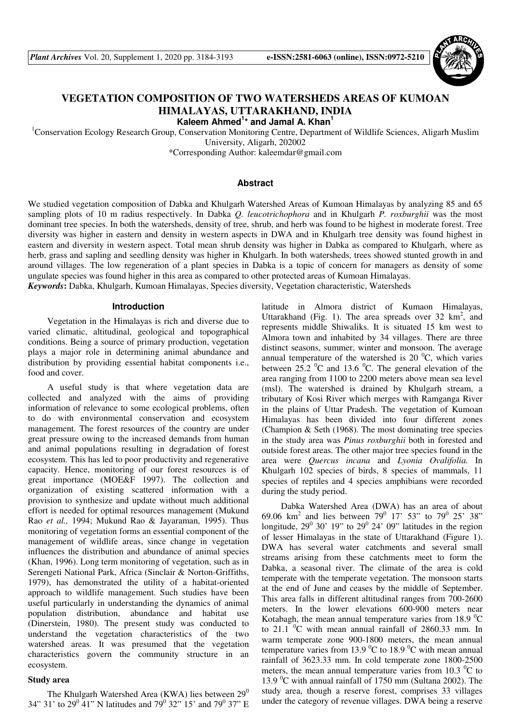

# **VEGETATION COMPOSITION OF TWO WATERSHEDS AREAS OF KUMOAN HIMALAYAS, UTTARAKHAND, INDIA**

**Kaleem Ahmed<sup>1</sup> \* and Jamal A. Khan<sup>1</sup>**

<sup>1</sup>Conservation Ecology Research Group, Conservation Monitoring Centre, Department of Wildlife Sciences, Aligarh Muslim University, Aligarh, 202002 \*Corresponding Author: kaleemdar@gmail.com

### **Abstract**

We studied vegetation composition of Dabka and Khulgarh Watershed Areas of Kumoan Himalayas by analyzing 85 and 65 sampling plots of 10 m radius respectively. In Dabka *Q. leucotrichophora* and in Khulgarh *P. roxburghii* was the most dominant tree species. In both the watersheds, density of tree, shrub, and herb was found to be highest in moderate forest. Tree diversity was higher in eastern and density in western aspects in DWA and in Khulgarh tree density was found highest in eastern and diversity in western aspect. Total mean shrub density was higher in Dabka as compared to Khulgarh, where as herb, grass and sapling and seedling density was higher in Khulgarh. In both watersheds, trees showed stunted growth in and around villages. The low regeneration of a plant species in Dabka is a topic of concern for managers as density of some ungulate species was found higher in this area as compared to other protected areas of Kumoan Himalayas. *Keywords***:** Dabka, Khulgarh, Kumoan Himalayas, Species diversity, Vegetation characteristic, Watersheds

#### **Introduction**

Vegetation in the Himalayas is rich and diverse due to varied climatic, altitudinal, geological and topographical conditions. Being a source of primary production, vegetation plays a major role in determining animal abundance and distribution by providing essential habitat components i.e., food and cover.

A useful study is that where vegetation data are collected and analyzed with the aims of providing information of relevance to some ecological problems, often to do with environmental conservation and ecosystem management. The forest resources of the country are under great pressure owing to the increased demands from human and animal populations resulting in degradation of forest ecosystem. This has led to poor productivity and regenerative capacity. Hence, monitoring of our forest resources is of great importance (MOE&F 1997). The collection and organization of existing scattered information with a provision to synthesize and update without much additional effort is needed for optimal resources management (Mukund Rao *et al.,* 1994; Mukund Rao & Jayaraman, 1995). Thus monitoring of vegetation forms an essential component of the management of wildlife areas, since change in vegetation influences the distribution and abundance of animal species (Khan, 1996). Long term monitoring of vegetation, such as in Serengeti National Park, Africa (Sinclair & Norton-Griffiths, 1979), has demonstrated the utility of a habitat-oriented approach to wildlife management. Such studies have been useful particularly in understanding the dynamics of animal population distribution, abundance and habitat use (Dinerstein, 1980). The present study was conducted to understand the vegetation characteristics of the two watershed areas. It was presumed that the vegetation characteristics govern the community structure in an ecosystem.

#### **Study area**

The Khulgarh Watershed Area (KWA) lies between  $29^0$ 34" 31' to 29<sup>0</sup> 41" N latitudes and 79<sup>0</sup> 32" 15' and 79<sup>0</sup> 37" E latitude in Almora district of Kumaon Himalayas, Uttarakhand (Fig. 1). The area spreads over  $32 \text{ km}^2$ , and represents middle Shiwaliks. It is situated 15 km west to Almora town and inhabited by 34 villages. There are three distinct seasons, summer, winter and monsoon. The average annual temperature of the watershed is 20 $\mathrm{^0C}$ , which varies between 25.2  $\mathrm{^0C}$  and 13.6  $\mathrm{^0C}$ . The general elevation of the area ranging from 1100 to 2200 meters above mean sea level (msl). The watershed is drained by Khulgarh stream, a tributary of Kosi River which merges with Ramganga River in the plains of Uttar Pradesh. The vegetation of Kumoan Himalayas has been divided into four different zones (Champion & Seth (1968). The most dominating tree species in the study area was *Pinus roxburghii* both in forested and outside forest areas. The other major tree species found in the area were *Quercus incana* and *Lyonia Ovalifolia.* In Khulgarh 102 species of birds, 8 species of mammals, 11 species of reptiles and 4 species amphibians were recorded during the study period.

Dabka Watershed Area (DWA) has an area of about 69.06 km<sup>2</sup> and lies between  $79^0$  17' 53" to  $79^0$  25' 38" longitude,  $29^{\circ}$  30' 19" to  $29^{\circ}$  24' 09" latitudes in the region of lesser Himalayas in the state of Uttarakhand (Figure 1). DWA has several water catchments and several small streams arising from these catchments meet to form the Dabka, a seasonal river. The climate of the area is cold temperate with the temperate vegetation. The monsoon starts at the end of June and ceases by the middle of September. This area falls in different altitudinal ranges from 700-2600 meters. In the lower elevations 600-900 meters near Kotabagh, the mean annual temperature varies from 18.9  $^{\circ}C$ to 21.1  $\mathrm{^0C}$  with mean annual rainfall of 2860.33 mm. In warm temperate zone 900-1800 meters, the mean annual temperature varies from 13.9  $\mathrm{^0C}$  to 18.9  $\mathrm{^0C}$  with mean annual rainfall of 3623.33 mm. In cold temperate zone 1800-2500 meters, the mean annual temperature varies from 10.3  $^{\circ}$ C to 13.9  $\mathrm{^0C}$  with annual rainfall of 1750 mm (Sultana 2002). The study area, though a reserve forest, comprises 33 villages under the category of revenue villages. DWA being a reserve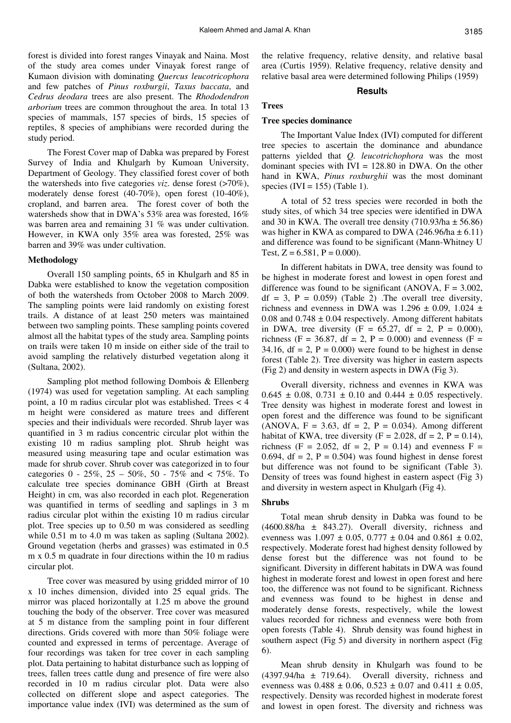forest is divided into forest ranges Vinayak and Naina. Most of the study area comes under Vinayak forest range of Kumaon division with dominating *Quercus leucotricophora* and few patches of *Pinus roxburgii*, *Taxus baccata*, and *Cedrus deodara* trees are also present. The *Rhododendron arborium* trees are common throughout the area. In total 13 species of mammals, 157 species of birds, 15 species of reptiles, 8 species of amphibians were recorded during the study period.

The Forest Cover map of Dabka was prepared by Forest Survey of India and Khulgarh by Kumoan University, Department of Geology. They classified forest cover of both the watersheds into five categories *viz*. dense forest (>70%), moderately dense forest (40-70%), open forest (10-40%), cropland, and barren area. The forest cover of both the watersheds show that in DWA's 53% area was forested, 16% was barren area and remaining 31 % was under cultivation. However, in KWA only 35% area was forested, 25% was barren and 39% was under cultivation.

#### **Methodology**

Overall 150 sampling points, 65 in Khulgarh and 85 in Dabka were established to know the vegetation composition of both the watersheds from October 2008 to March 2009. The sampling points were laid randomly on existing forest trails. A distance of at least 250 meters was maintained between two sampling points. These sampling points covered almost all the habitat types of the study area. Sampling points on trails were taken 10 m inside on either side of the trail to avoid sampling the relatively disturbed vegetation along it (Sultana, 2002).

Sampling plot method following Dombois & Ellenberg (1974) was used for vegetation sampling. At each sampling point, a 10 m radius circular plot was established. Trees < 4 m height were considered as mature trees and different species and their individuals were recorded. Shrub layer was quantified in 3 m radius concentric circular plot within the existing 10 m radius sampling plot. Shrub height was measured using measuring tape and ocular estimation was made for shrub cover. Shrub cover was categorized in to four categories  $0 - 25\%, 25 - 50\%, 50 - 75\%$  and  $\lt 75\%$ . To calculate tree species dominance GBH (Girth at Breast Height) in cm, was also recorded in each plot. Regeneration was quantified in terms of seedling and saplings in 3 m radius circular plot within the existing 10 m radius circular plot. Tree species up to 0.50 m was considered as seedling while 0.51 m to 4.0 m was taken as sapling (Sultana 2002). Ground vegetation (herbs and grasses) was estimated in 0.5 m x 0.5 m quadrate in four directions within the 10 m radius circular plot.

Tree cover was measured by using gridded mirror of 10 x 10 inches dimension, divided into 25 equal grids. The mirror was placed horizontally at 1.25 m above the ground touching the body of the observer. Tree cover was measured at 5 m distance from the sampling point in four different directions. Grids covered with more than 50% foliage were counted and expressed in terms of percentage. Average of four recordings was taken for tree cover in each sampling plot. Data pertaining to habitat disturbance such as lopping of trees, fallen trees cattle dung and presence of fire were also recorded in 10 m radius circular plot. Data were also collected on different slope and aspect categories. The importance value index (IVI) was determined as the sum of

the relative frequency, relative density, and relative basal area (Curtis 1959). Relative frequency, relative density and relative basal area were determined following Philips (1959)

#### **Results**

### **Trees**

### **Tree species dominance**

The Important Value Index (IVI) computed for different tree species to ascertain the dominance and abundance patterns yielded that *Q. leucotrichophora* was the most dominant species with  $IVI = 128.80$  in DWA. On the other hand in KWA, *Pinus roxburghii* was the most dominant species (IVI = 155) (Table 1).

A total of 52 tress species were recorded in both the study sites, of which 34 tree species were identified in DWA and 30 in KWA. The overall tree density  $(710.93/ha \pm 56.86)$ was higher in KWA as compared to DWA (246.96/ha  $\pm$  6.11) and difference was found to be significant (Mann-Whitney U Test,  $Z = 6.581$ ,  $P = 0.000$ ).

In different habitats in DWA, tree density was found to be highest in moderate forest and lowest in open forest and difference was found to be significant (ANOVA,  $F = 3.002$ ,  $df = 3$ ,  $P = 0.059$  (Table 2). The overall tree diversity, richness and evenness in DWA was  $1.296 \pm 0.09$ ,  $1.024 \pm 1.024$ 0.08 and  $0.748 \pm 0.04$  respectively. Among different habitats in DWA, tree diversity (F =  $65.27$ , df = 2, P = 0.000), richness (F = 36.87, df = 2, P = 0.000) and evenness (F = 34.16, df = 2,  $P = 0.000$ ) were found to be highest in dense forest (Table 2). Tree diversity was higher in eastern aspects (Fig 2) and density in western aspects in DWA (Fig 3).

Overall diversity, richness and evennes in KWA was  $0.645 \pm 0.08$ ,  $0.731 \pm 0.10$  and  $0.444 \pm 0.05$  respectively. Tree density was highest in moderate forest and lowest in open forest and the difference was found to be significant  $(ANOVA, F = 3.63, df = 2, P = 0.034)$ . Among different habitat of KWA, tree diversity  $(F = 2.028, df = 2, P = 0.14)$ , richness (F = 2.052, df = 2, P = 0.14) and evenness F = 0.694, df = 2,  $P = 0.504$ ) was found highest in dense forest but difference was not found to be significant (Table 3). Density of trees was found highest in eastern aspect (Fig 3) and diversity in western aspect in Khulgarh (Fig 4).

#### **Shrubs**

Total mean shrub density in Dabka was found to be  $(4600.88/ha \pm 843.27)$ . Overall diversity, richness and evenness was  $1.097 \pm 0.05$ ,  $0.777 \pm 0.04$  and  $0.861 \pm 0.02$ , respectively. Moderate forest had highest density followed by dense forest but the difference was not found to be significant. Diversity in different habitats in DWA was found highest in moderate forest and lowest in open forest and here too, the difference was not found to be significant. Richness and evenness was found to be highest in dense and moderately dense forests, respectively, while the lowest values recorded for richness and evenness were both from open forests (Table 4). Shrub density was found highest in southern aspect (Fig 5) and diversity in northern aspect (Fig 6).

Mean shrub density in Khulgarh was found to be  $(4397.94/ha \pm 719.64)$ . Overall diversity, richness and evenness was  $0.488 \pm 0.06$ ,  $0.523 \pm 0.07$  and  $0.411 \pm 0.05$ , respectively. Density was recorded highest in moderate forest and lowest in open forest. The diversity and richness was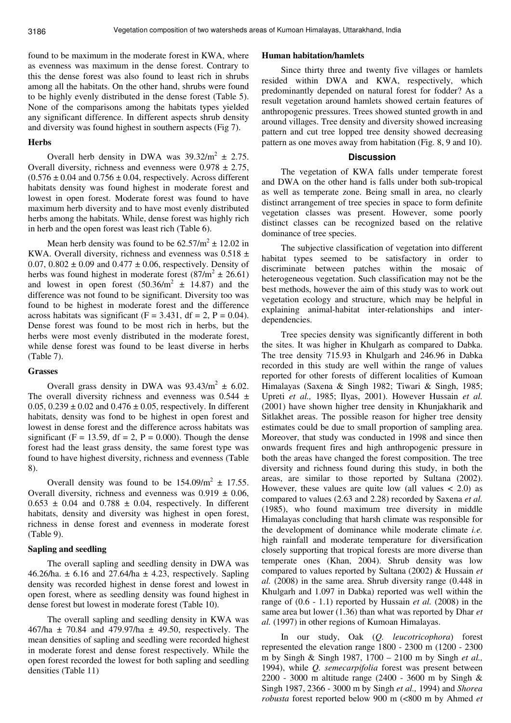found to be maximum in the moderate forest in KWA, where as evenness was maximum in the dense forest. Contrary to this the dense forest was also found to least rich in shrubs among all the habitats. On the other hand, shrubs were found to be highly evenly distributed in the dense forest (Table 5). None of the comparisons among the habitats types yielded any significant difference. In different aspects shrub density and diversity was found highest in southern aspects (Fig 7).

### **Herbs**

Overall herb density in DWA was  $39.32/m^2 \pm 2.75$ . Overall diversity, richness and evenness were  $0.978 \pm 2.75$ ,  $(0.576 \pm 0.04$  and  $0.756 \pm 0.04$ , respectively. Across different habitats density was found highest in moderate forest and lowest in open forest. Moderate forest was found to have maximum herb diversity and to have most evenly distributed herbs among the habitats. While, dense forest was highly rich in herb and the open forest was least rich (Table 6).

Mean herb density was found to be  $62.57/m^2 \pm 12.02$  in KWA. Overall diversity, richness and evenness was  $0.518 \pm$ 0.07,  $0.802 \pm 0.09$  and  $0.477 \pm 0.06$ , respectively. Density of herbs was found highest in moderate forest  $(87/m^2 \pm 26.61)$ and lowest in open forest  $(50.36/m^2 \pm 14.87)$  and the difference was not found to be significant. Diversity too was found to be highest in moderate forest and the difference across habitats was significant (F = 3.431, df = 2, P = 0.04). Dense forest was found to be most rich in herbs, but the herbs were most evenly distributed in the moderate forest, while dense forest was found to be least diverse in herbs (Table 7).

### **Grasses**

Overall grass density in DWA was  $93.43/m^2 \pm 6.02$ . The overall diversity richness and evenness was  $0.544 \pm$ 0.05,  $0.239 \pm 0.02$  and  $0.476 \pm 0.05$ , respectively. In different habitats, density was fond to be highest in open forest and lowest in dense forest and the difference across habitats was significant (F = 13.59, df = 2, P = 0.000). Though the dense forest had the least grass density, the same forest type was found to have highest diversity, richness and evenness (Table 8).

Overall density was found to be  $154.09/m^2 \pm 17.55$ . Overall diversity, richness and evenness was  $0.919 \pm 0.06$ ,  $0.653 \pm 0.04$  and  $0.788 \pm 0.04$ , respectively. In different habitats, density and diversity was highest in open forest, richness in dense forest and evenness in moderate forest (Table 9).

### **Sapling and seedling**

The overall sapling and seedling density in DWA was 46.26/ha.  $\pm$  6.16 and 27.64/ha  $\pm$  4.23, respectively. Sapling density was recorded highest in dense forest and lowest in open forest, where as seedling density was found highest in dense forest but lowest in moderate forest (Table 10).

The overall sapling and seedling density in KWA was 467/ha  $\pm$  70.84 and 479.97/ha  $\pm$  49.50, respectively. The mean densities of sapling and seedling were recorded highest in moderate forest and dense forest respectively. While the open forest recorded the lowest for both sapling and seedling densities (Table 11)

#### **Human habitation/hamlets**

Since thirty three and twenty five villages or hamlets resided within DWA and KWA, respectively, which predominantly depended on natural forest for fodder? As a result vegetation around hamlets showed certain features of anthropogenic pressures. Trees showed stunted growth in and around villages. Tree density and diversity showed increasing pattern and cut tree lopped tree density showed decreasing pattern as one moves away from habitation (Fig. 8, 9 and 10).

### **Discussion**

The vegetation of KWA falls under temperate forest and DWA on the other hand is falls under both sub-tropical as well as temperate zone. Being small in area, no clearly distinct arrangement of tree species in space to form definite vegetation classes was present. However, some poorly distinct classes can be recognized based on the relative dominance of tree species.

The subjective classification of vegetation into different habitat types seemed to be satisfactory in order to discriminate between patches within the mosaic of heterogeneous vegetation. Such classification may not be the best methods, however the aim of this study was to work out vegetation ecology and structure, which may be helpful in explaining animal-habitat inter-relationships and interdependencies.

Tree species density was significantly different in both the sites. It was higher in Khulgarh as compared to Dabka. The tree density 715.93 in Khulgarh and 246.96 in Dabka recorded in this study are well within the range of values reported for other forests of different localities of Kumoan Himalayas (Saxena & Singh 1982; Tiwari & Singh, 1985; Upreti *et al.,* 1985; Ilyas, 2001). However Hussain *et al.* (2001) have shown higher tree density in Khunjakharik and Sitlakhet areas. The possible reason for higher tree density estimates could be due to small proportion of sampling area. Moreover, that study was conducted in 1998 and since then onwards frequent fires and high anthropogenic pressure in both the areas have changed the forest composition. The tree diversity and richness found during this study, in both the areas, are similar to those reported by Sultana (2002). However, these values are quite low (all values  $\lt$  2.0) as compared to values (2.63 and 2.28) recorded by Saxena *et al.* (1985), who found maximum tree diversity in middle Himalayas concluding that harsh climate was responsible for the development of dominance while moderate climate *i.e.* high rainfall and moderate temperature for diversification closely supporting that tropical forests are more diverse than temperate ones (Khan, 2004). Shrub density was low compared to values reported by Sultana (2002) & Hussain *et al.* (2008) in the same area. Shrub diversity range (0.448 in Khulgarh and 1.097 in Dabka) reported was well within the range of (0.6 - 1.1) reported by Hussain *et al.* (2008) in the same area but lower (1.36) than what was reported by Dhar *et al.* (1997) in other regions of Kumoan Himalayas.

In our study, Oak (*Q. leucotricophora*) forest represented the elevation range 1800 - 2300 m (1200 - 2300 m by Singh & Singh 1987, 1700 – 2100 m by Singh *et al.,* 1994), while *Q. semecarpifolia* forest was present between 2200 - 3000 m altitude range (2400 - 3600 m by Singh & Singh 1987, 2366 - 3000 m by Singh *et al.,* 1994) and *Shorea robusta* forest reported below 900 m (<800 m by Ahmed *et*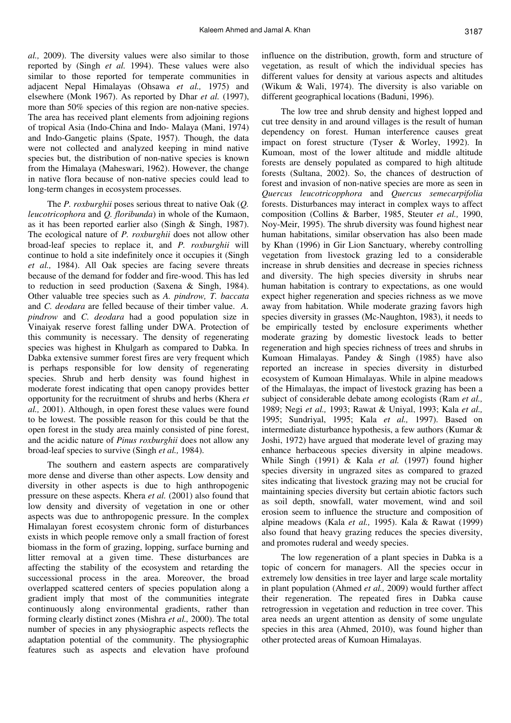*al.,* 2009). The diversity values were also similar to those reported by (Singh *et al.* 1994). These values were also similar to those reported for temperate communities in adjacent Nepal Himalayas (Ohsawa *et al.,* 1975) and elsewhere (Monk 1967). As reported by Dhar *et al.* (1997), more than 50% species of this region are non-native species. The area has received plant elements from adjoining regions of tropical Asia (Indo-China and Indo- Malaya (Mani, 1974) and Indo-Gangetic plains (Spate, 1957). Though, the data were not collected and analyzed keeping in mind native species but, the distribution of non-native species is known from the Himalaya (Maheswari, 1962). However, the change in native flora because of non-native species could lead to long-term changes in ecosystem processes.

The *P. roxburghii* poses serious threat to native Oak (*Q. leucotricophora* and *Q. floribunda*) in whole of the Kumaon, as it has been reported earlier also (Singh & Singh, 1987). The ecological nature of *P. roxburghii* does not allow other broad-leaf species to replace it, and *P. roxburghii* will continue to hold a site indefinitely once it occupies it (Singh *et al.,* 1984). All Oak species are facing severe threats because of the demand for fodder and fire-wood. This has led to reduction in seed production (Saxena & Singh, 1984). Other valuable tree species such as *A. pindrow, T. baccata*  and *C. deodara* are felled because of their timber value. *A. pindrow* and *C. deodara* had a good population size in Vinaiyak reserve forest falling under DWA. Protection of this community is necessary. The density of regenerating species was highest in Khulgarh as compared to Dabka. In Dabka extensive summer forest fires are very frequent which is perhaps responsible for low density of regenerating species. Shrub and herb density was found highest in moderate forest indicating that open canopy provides better opportunity for the recruitment of shrubs and herbs (Khera *et al.,* 2001). Although, in open forest these values were found to be lowest. The possible reason for this could be that the open forest in the study area mainly consisted of pine forest, and the acidic nature of *Pinus roxburghii* does not allow any broad-leaf species to survive (Singh *et al.,* 1984).

The southern and eastern aspects are comparatively more dense and diverse than other aspects. Low density and diversity in other aspects is due to high anthropogenic pressure on these aspects. Khera *et al.* (2001) also found that low density and diversity of vegetation in one or other aspects was due to anthropogenic pressure. In the complex Himalayan forest ecosystem chronic form of disturbances exists in which people remove only a small fraction of forest biomass in the form of grazing, lopping, surface burning and litter removal at a given time. These disturbances are affecting the stability of the ecosystem and retarding the successional process in the area. Moreover, the broad overlapped scattered centers of species population along a gradient imply that most of the communities integrate continuously along environmental gradients, rather than forming clearly distinct zones (Mishra *et al.,* 2000). The total number of species in any physiographic aspects reflects the adaptation potential of the community. The physiographic features such as aspects and elevation have profound influence on the distribution, growth, form and structure of vegetation, as result of which the individual species has different values for density at various aspects and altitudes (Wikum & Wali, 1974). The diversity is also variable on different geographical locations (Baduni, 1996).

The low tree and shrub density and highest lopped and cut tree density in and around villages is the result of human dependency on forest. Human interference causes great impact on forest structure (Tyser & Worley, 1992). In Kumoan, most of the lower altitude and middle altitude forests are densely populated as compared to high altitude forests (Sultana, 2002). So, the chances of destruction of forest and invasion of non-native species are more as seen in *Quercus leucotricopphora* and *Quercus semecarpifolia* forests. Disturbances may interact in complex ways to affect composition (Collins & Barber, 1985, Steuter *et al.,* 1990, Noy-Meir, 1995). The shrub diversity was found highest near human habitations, similar observation has also been made by Khan (1996) in Gir Lion Sanctuary, whereby controlling vegetation from livestock grazing led to a considerable increase in shrub densities and decrease in species richness and diversity. The high species diversity in shrubs near human habitation is contrary to expectations, as one would expect higher regeneration and species richness as we move away from habitation. While moderate grazing favors high species diversity in grasses (Mc-Naughton, 1983), it needs to be empirically tested by enclosure experiments whether moderate grazing by domestic livestock leads to better regeneration and high species richness of trees and shrubs in Kumoan Himalayas. Pandey & Singh (1985) have also reported an increase in species diversity in disturbed ecosystem of Kumoan Himalayas. While in alpine meadows of the Himalayas, the impact of livestock grazing has been a subject of considerable debate among ecologists (Ram *et al.,* 1989; Negi *et al.,* 1993; Rawat & Uniyal, 1993; Kala *et al.,* 1995; Sundriyal, 1995; Kala *et al.,* 1997). Based on intermediate disturbance hypothesis, a few authors (Kumar & Joshi, 1972) have argued that moderate level of grazing may enhance herbaceous species diversity in alpine meadows. While Singh (1991) & Kala *et al.* (1997) found higher species diversity in ungrazed sites as compared to grazed sites indicating that livestock grazing may not be crucial for maintaining species diversity but certain abiotic factors such as soil depth, snowfall, water movement, wind and soil erosion seem to influence the structure and composition of alpine meadows (Kala *et al.,* 1995). Kala & Rawat (1999) also found that heavy grazing reduces the species diversity, and promotes ruderal and weedy species.

The low regeneration of a plant species in Dabka is a topic of concern for managers. All the species occur in extremely low densities in tree layer and large scale mortality in plant population (Ahmed *et al.,* 2009) would further affect their regeneration. The repeated fires in Dabka cause retrogression in vegetation and reduction in tree cover. This area needs an urgent attention as density of some ungulate species in this area (Ahmed, 2010), was found higher than other protected areas of Kumoan Himalayas.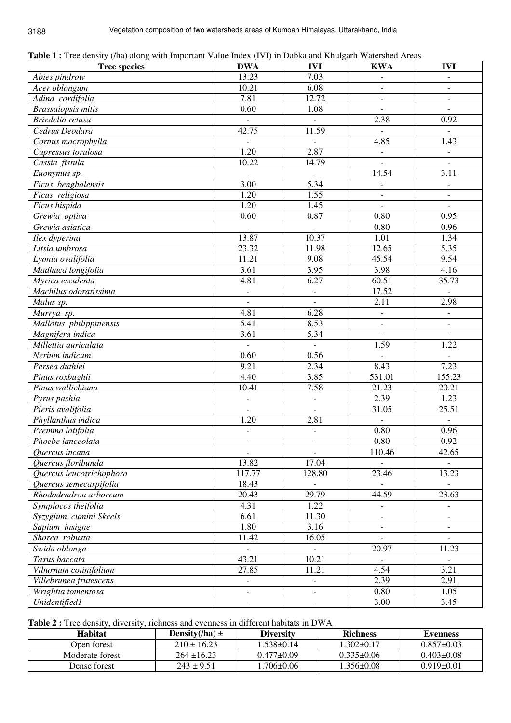|  |  |  |  | Table 1: Tree density (/ha) along with Important Value Index (IVI) in Dabka and Khulgarh Watershed Areas |
|--|--|--|--|----------------------------------------------------------------------------------------------------------|
|--|--|--|--|----------------------------------------------------------------------------------------------------------|

| <b>Tree species</b>         | <b>DWA</b>                   | <b>IVI</b>               | <b>KWA</b>               | <b>IVI</b>               |
|-----------------------------|------------------------------|--------------------------|--------------------------|--------------------------|
| Abies pindrow               | 13.23                        | 7.03                     | $\overline{\phantom{a}}$ | $\overline{\phantom{a}}$ |
| Acer oblongum               | 10.21                        | 6.08                     | $\overline{\phantom{a}}$ | $\overline{\phantom{a}}$ |
| Adina cordifolia            | 7.81                         | 12.72                    | $\overline{\phantom{a}}$ | $\overline{\phantom{a}}$ |
| <b>Brassaiopsis mitis</b>   | 0.60                         | 1.08                     | $\overline{\phantom{a}}$ | $\mathbf{r}$             |
| Briedelia retusa            | $\bar{\phantom{a}}$          |                          | 2.38                     | 0.92                     |
| Cedrus Deodara              | 42.75                        | 11.59                    |                          |                          |
| Cornus macrophylla          | $\overline{a}$               | $\mathcal{L}$            | 4.85                     | 1.43                     |
| Cupressus torulosa          | $\overline{1.20}$            | 2.87                     | $\overline{\phantom{a}}$ | $\overline{\phantom{a}}$ |
| Cassia fistula              | 10.22                        | 14.79                    | $\equiv$                 | $\blacksquare$           |
| Euonymus sp.                |                              | $\overline{\phantom{a}}$ | 14.54                    | 3.11                     |
| Ficus benghalensis          | $\overline{3.00}$            | 5.34                     | $\overline{\phantom{a}}$ | $\blacksquare$           |
| Ficus religiosa             | 1.20                         | 1.55                     | $\overline{\phantom{a}}$ | $\blacksquare$           |
| $\overline{F}$ icus hispida | 1.20                         | 1.45                     | $\blacksquare$           | $\overline{\phantom{a}}$ |
| Grewia optiva               | 0.60                         | 0.87                     | 0.80                     | 0.95                     |
| Grewia asiatica             | $\blacksquare$               | $\overline{\phantom{a}}$ | 0.80                     | 0.96                     |
| Ilex dyperina               | 13.87                        | 10.37                    | 1.01                     | 1.34                     |
| Litsia umbrosa              | 23.32                        | 11.98                    | 12.65                    | 5.35                     |
| Lyonia ovalifolia           | 11.21                        | 9.08                     | 45.54                    | 9.54                     |
| Madhuca longifolia          | 3.61                         | 3.95                     | 3.98                     | 4.16                     |
| Myrica esculenta            | 4.81                         | 6.27                     | 60.51                    | 35.73                    |
| Machilus odoratissima       | $\blacksquare$               | $\Box$                   | 17.52                    | $\overline{\phantom{a}}$ |
| Malus sp.                   | $\frac{1}{2}$                | $\bar{\phantom{a}}$      | 2.11                     | 2.98                     |
| Murrya sp.                  | 4.81                         | 6.28                     | $\overline{\phantom{a}}$ | $\blacksquare$           |
| Mallotus philippinensis     | 5.41                         | 8.53                     | $\overline{\phantom{a}}$ | $\overline{\phantom{a}}$ |
| Magnifera indica            | 3.61                         | 5.34                     | $\Box$                   | $\Box$                   |
| Millettia auriculata        | $\bar{\phantom{a}}$          | $\blacksquare$           | 1.59                     | 1.22                     |
| Nerium indicum              | 0.60                         | 0.56                     | $\bar{\phantom{a}}$      | $\mathbf{r}$             |
| Persea duthiei              | 9.21                         | 2.34                     | 8.43                     | 7.23                     |
| Pinus roxbughii             | 4.40                         | 3.85                     | 531.01                   | 155.23                   |
| Pinus wallichiana           | 10.41                        | 7.58                     | 21.23                    | 20.21                    |
| Pyrus pashia                | $\overline{\phantom{a}}$     | $\overline{\phantom{a}}$ | 2.39                     | 1.23                     |
| Pieris avalifolia           | $\blacksquare$               | $\blacksquare$           | 31.05                    | 25.51                    |
| Phyllanthus indica          | 1.20                         | 2.81                     | $\blacksquare$           | $\blacksquare$           |
| Premma latifolia            | $\blacksquare$               | $\overline{\phantom{a}}$ | 0.80                     | 0.96                     |
| Phoebe lanceolata           | $\overline{\phantom{a}}$     | $\bar{\phantom{a}}$      | 0.80                     | 0.92                     |
| Quercus incana              | $\blacksquare$               | $\overline{\phantom{a}}$ | 110.46                   | 42.65                    |
| Quercus floribunda          | 13.82                        | 17.04                    |                          |                          |
| Quercus leucotrichophora    | 117.77                       | 128.80                   | 23.46                    | 13.23                    |
| Quercus semecarpifolia      | 18.43                        | $\overline{\phantom{a}}$ | $\overline{\phantom{a}}$ |                          |
| Rhododendron arboreum       | 20.43                        | 29.79                    | 44.59                    | 23.63                    |
| Symplocos theifolia         | 4.31                         | 1.22                     | $\overline{\phantom{a}}$ | $\overline{\phantom{a}}$ |
| Syzygium cumini Skeels      | 6.61                         | 11.30                    | $\overline{\phantom{a}}$ | $\overline{\phantom{a}}$ |
| Sapium insigne              | 1.80                         | 3.16                     | $\overline{\phantom{a}}$ | $\overline{\phantom{a}}$ |
| Shorea robusta              | 11.42                        | 16.05                    | $\mathbb{L}$             | $\bar{\phantom{a}}$      |
| Swida oblonga               | $\Box$                       |                          | 20.97                    | 11.23                    |
| Taxus baccata               | 43.21                        | 10.21                    | $\overline{\phantom{a}}$ | $\overline{\phantom{a}}$ |
| Viburnum cotinifolium       | 27.85                        | 11.21                    | 4.54                     | $\overline{3.21}$        |
| Villebrunea frutescens      | $\overline{\phantom{a}}$     | $\qquad \qquad -$        | 2.39                     | 2.91                     |
| Wrightia tomentosa          | $\qquad \qquad \blacksquare$ | $\overline{\phantom{a}}$ | 0.80                     | 1.05                     |
| Unidentified1               | $\overline{\phantom{a}}$     | $\blacksquare$           | 3.00                     | 3.45                     |

**Table 2 :** Tree density, diversity, richness and evenness in different habitats in DWA

| <b>Habitat</b>  | Density(/ha) $\pm$ | <b>Diversity</b> | <b>Richness</b>  | <b>Evenness</b>  |
|-----------------|--------------------|------------------|------------------|------------------|
| Open forest     | $210 \pm 16.23$    | .538±0.14        | $1.302 \pm 0.17$ | $0.857\pm0.03$   |
| Moderate forest | $264 \pm 16.23$    | $0.477\pm0.09$   | $0.335 \pm 0.06$ | $0.403 \pm 0.08$ |
| Dense forest    | $243 \pm 9.51$     | .706 $\pm$ 0.06  | l.356±0.08       | $0.919\pm0.01$   |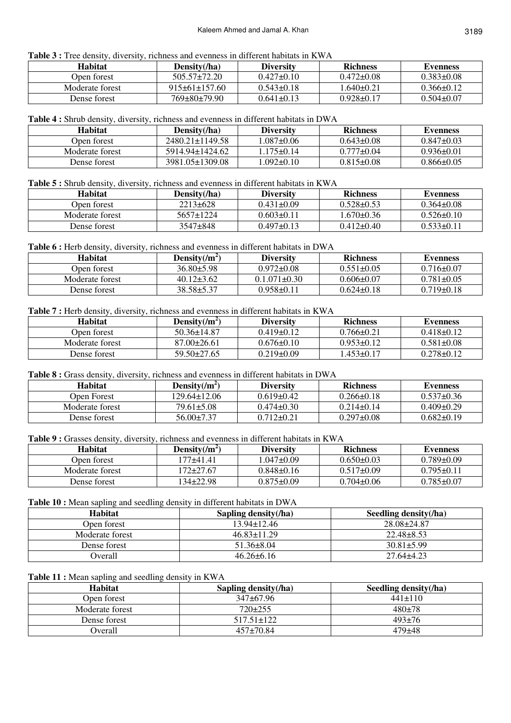**Table 3 :** Tree density, diversity, richness and evenness in different habitats in KWA

| Habitat         | Density(/ha)        | <b>Diversity</b> | <b>Richness</b>  | <b>Evenness</b>  |
|-----------------|---------------------|------------------|------------------|------------------|
| Open forest     | $505.57 \pm 72.20$  | $0.427\pm0.10$   | $0.472\pm0.08$   | $0.383\pm0.08$   |
| Moderate forest | $915\pm61\pm157.60$ | $0.543\pm0.18$   | 1.640+0.21       | $0.366\pm0.12$   |
| Dense forest    | 769±80±79.90        | $0.641 \pm 0.13$ | $0.928 \pm 0.17$ | $0.504 \pm 0.07$ |

# **Table 4 :** Shrub density, diversity, richness and evenness in different habitats in DWA

| Habitat         | Density( $/ha$ )      | <b>Diversity</b> | <b>Richness</b>  | <b>Evenness</b> |
|-----------------|-----------------------|------------------|------------------|-----------------|
| Open forest     | $2480.21 \pm 1149.58$ | $.087 \pm 0.06$  | $0.643 \pm 0.08$ | $0.847\pm0.03$  |
| Moderate forest | 5914.94±1424.62       | $.175 + 0.14$    | $0.777 \pm 0.04$ | $0.936\pm0.01$  |
| Dense forest    | 3981.05±1309.08       | $.092 \pm 0.10$  | $0.815 \pm 0.08$ | $0.866\pm0.05$  |

**Table 5 :** Shrub density, diversity, richness and evenness in different habitats in KWA

| Habitat         | Density(/ha)    | <b>Diversity</b> | <b>Richness</b>  | <b>Evenness</b>  |
|-----------------|-----------------|------------------|------------------|------------------|
| Open forest     | $2213 \pm 628$  | $0.431 \pm 0.09$ | $0.528 \pm 0.53$ | $0.364\pm0.08$   |
| Moderate forest | $5657 \pm 1224$ | $0.603 \pm 0.11$ | $0.670 \pm 0.36$ | $0.526 \pm 0.10$ |
| Dense forest    | $3547\pm848$    | $0.497\pm0.13$   | $0.412\pm0.40$   | $0.533\pm0.11$   |

Table 6 : Herb density, diversity, richness and evenness in different habitats in DWA

| Habitat         | Density $(\overline{m})$ | <b>Diversity</b>   | <b>Richness</b>  | <b>Evenness</b>  |
|-----------------|--------------------------|--------------------|------------------|------------------|
| Open forest     | $36.80\pm5.98$           | $0.972 \pm 0.08$   | $0.551 \pm 0.05$ | $0.716\pm0.07$   |
| Moderate forest | $40.12\pm3.62$           | $0.1.071 \pm 0.30$ | $0.606 \pm 0.07$ | $0.781 \pm 0.05$ |
| Dense forest    | $38.58 \pm 5.37$         | $0.958 \pm 0.11$   | $0.624\pm0.18$   | $0.719\pm0.18$   |

**Table 7 :** Herb density, diversity, richness and evenness in different habitats in KWA

| Habitat         | Density(/ $m^2$ ) | <b>Diversity</b> | <b>Richness</b>  | <b>Evenness</b>  |
|-----------------|-------------------|------------------|------------------|------------------|
| Open forest     | $50.36 + 14.87$   | $0.419 + 0.12$   | $0.766 \pm 0.21$ | $0.418 + 0.12$   |
| Moderate forest | $87.00\pm26.61$   | $0.676\pm0.10$   | $0.953\pm0.12$   | $0.581 \pm 0.08$ |
| Dense forest    | $59.50 \pm 27.65$ | $0.219\pm0.09$   | $1.453\pm0.17$   | $0.278 \pm 0.12$ |

## Table 8 : Grass density, diversity, richness and evenness in different habitats in DWA

| <b>Habitat</b>  | Density $(\overline{m^2})$ | <b>Diversity</b> | <b>Richness</b>  | <b>Evenness</b> |
|-----------------|----------------------------|------------------|------------------|-----------------|
| Open Forest     | 129.64±12.06               | $0.619\pm0.42$   | $0.266 \pm 0.18$ | $0.537 + 0.36$  |
| Moderate forest | $79.61 \pm 5.08$           | $0.474\pm0.30$   | $0.214\pm0.14$   | $0.409\pm0.29$  |
| Dense forest    | $56.00 \pm 7.37$           | $0.712\pm0.21$   | $0.297\pm0.08$   | $0.682 + 0.19$  |

**Table 9 :** Grasses density, diversity, richness and evenness in different habitats in KWA

| <b>Habitat</b>  | Density $(\overline{m})$ | <b>Diversity</b> | <b>Richness</b>  | Evenness         |
|-----------------|--------------------------|------------------|------------------|------------------|
| Open forest     | 177+41.41                | $.047 \pm 0.09$  | $0.650\pm0.03$   | $0.789\pm0.09$   |
| Moderate forest | 172±27.67                | $0.848\pm0.16$   | $0.517\pm0.09$   | $0.795 \pm 0.11$ |
| Dense forest    | 134±22.98                | $0.875\pm0.09$   | $0.704 \pm 0.06$ | $0.785 \pm 0.07$ |

**Table 10 :** Mean sapling and seedling density in different habitats in DWA

| <b>Habitat</b>  | Sapling density(/ha) | Seedling density(/ha) |
|-----------------|----------------------|-----------------------|
| Open forest     | 13.94±12.46          | $28.08 \pm 24.87$     |
| Moderate forest | $46.83 \pm 11.29$    | $22.48\pm8.53$        |
| Dense forest    | $51.36\pm8.04$       | $30.81 \pm 5.99$      |
| <b>Dverall</b>  | $46.26 \pm 6.16$     | $27.64\pm4.23$        |

# Table 11 : Mean sapling and seedling density in KWA

| <b>Habitat</b>  | Sapling density(/ha) | Seedling density(/ha) |
|-----------------|----------------------|-----------------------|
| Open forest     | $347\pm67.96$        | $441\pm110$           |
| Moderate forest | $720 \pm 255$        | $480+78$              |
| Dense forest    | 517.51+122           | $493 \pm 76$          |
| Overall         | $457 \pm 70.84$      | $479 + 48$            |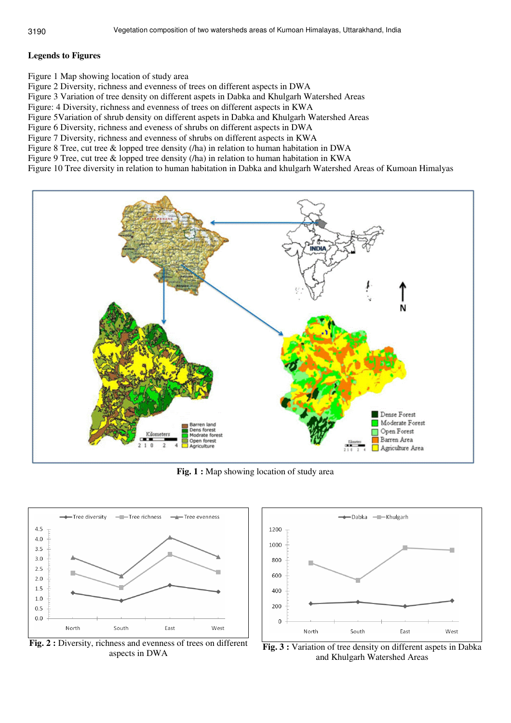# **Legends to Figures**

Figure 1 Map showing location of study area

Figure 2 Diversity, richness and evenness of trees on different aspects in DWA

Figure 3 Variation of tree density on different aspets in Dabka and Khulgarh Watershed Areas

Figure: 4 Diversity, richness and evenness of trees on different aspects in KWA

Figure 5Variation of shrub density on different aspets in Dabka and Khulgarh Watershed Areas

Figure 6 Diversity, richness and eveness of shrubs on different aspects in DWA

Figure 7 Diversity, richness and evenness of shrubs on different aspects in KWA

Figure 8 Tree, cut tree & lopped tree density (/ha) in relation to human habitation in DWA

Figure 9 Tree, cut tree & lopped tree density (/ha) in relation to human habitation in KWA

Figure 10 Tree diversity in relation to human habitation in Dabka and khulgarh Watershed Areas of Kumoan Himalyas



**Fig. 1 :** Map showing location of study area



**Fig. 2 :** Diversity, richness and evenness of trees on different aspects in DWA



**Fig. 3 :** Variation of tree density on different aspets in Dabka and Khulgarh Watershed Areas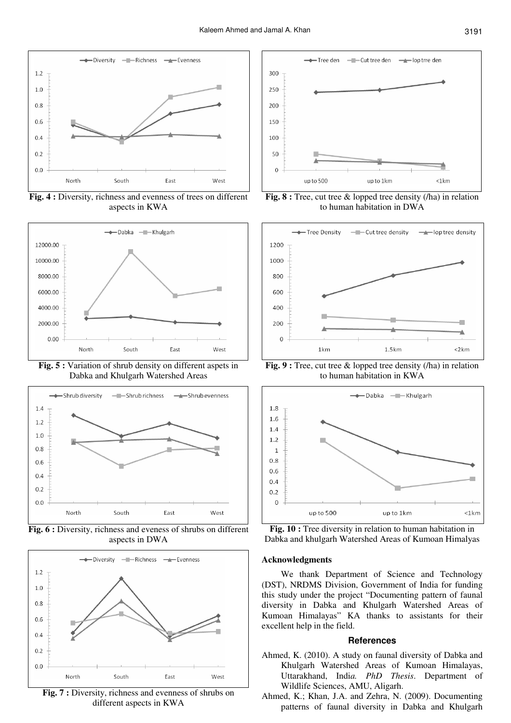

**Fig. 4 :** Diversity, richness and evenness of trees on different aspects in KWA



**Fig. 5 :** Variation of shrub density on different aspets in Dabka and Khulgarh Watershed Areas



**Fig. 6 :** Diversity, richness and eveness of shrubs on different aspects in DWA



**Fig. 7 :** Diversity, richness and evenness of shrubs on different aspects in KWA



**Fig. 8 :** Tree, cut tree & lopped tree density (/ha) in relation to human habitation in DWA



**Fig. 9 :** Tree, cut tree & lopped tree density (/ha) in relation to human habitation in KWA



Fig. 10 : Tree diversity in relation to human habitation in Dabka and khulgarh Watershed Areas of Kumoan Himalyas

### **Acknowledgments**

We thank Department of Science and Technology (DST), NRDMS Division, Government of India for funding this study under the project "Documenting pattern of faunal diversity in Dabka and Khulgarh Watershed Areas of Kumoan Himalayas" KA thanks to assistants for their excellent help in the field.

#### **References**

- Ahmed, K. (2010). A study on faunal diversity of Dabka and Khulgarh Watershed Areas of Kumoan Himalayas, Uttarakhand, Indi*a. PhD Thesis*. Department of Wildlife Sciences, AMU, Aligarh.
- Ahmed, K.; Khan, J.A. and Zehra, N. (2009). Documenting patterns of faunal diversity in Dabka and Khulgarh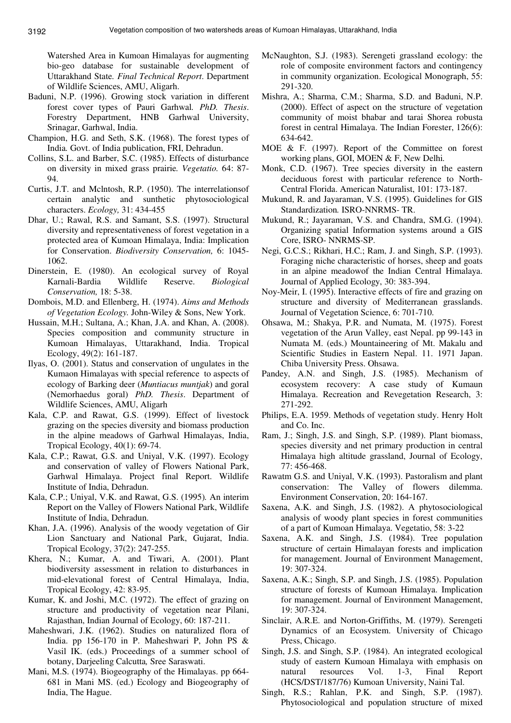Watershed Area in Kumoan Himalayas for augmenting bio-geo database for sustainable development of Uttarakhand State*. Final Technical Report*. Department of Wildlife Sciences, AMU, Aligarh.

- Baduni, N.P. (1996). Growing stock variation in different forest cover types of Pauri Garhwal*. PhD. Thesis*. Forestry Department, HNB Garhwal University, Srinagar, Garhwal, India.
- Champion, H.G. and Seth, S.K. (1968). The forest types of India*.* Govt. of India publication, FRI, Dehradun.
- Collins, S.L. and Barber, S.C. (1985). Effects of disturbance on diversity in mixed grass prairie*. Vegetatio.* 64: 87- 94.
- Curtis, J.T. and Mclntosh, R.P. (1950). The interrelationsof certain analytic and sunthetic phytosociological characters. *Ecology,* 31: 434-455
- Dhar, U.; Rawal, R.S. and Samant, S.S. (1997). Structural diversity and representativeness of forest vegetation in a protected area of Kumoan Himalaya, India: Implication for Conservation. *Biodiversity Conservation,* 6: 1045- 1062.
- Dinerstein, E. (1980). An ecological survey of Royal Karnali-Bardia Wildlife Reserve. *Biological Conservation,* 18: 5-38.
- Dombois, M.D. and Ellenberg, H. (1974). *Aims and Methods of Vegetation Ecology.* John-Wiley & Sons, New York.
- Hussain, M.H.; Sultana, A.; Khan, J.A. and Khan, A. (2008). Species composition and community structure in Kumoan Himalayas, Uttarakhand, India. Tropical Ecology, 49(2): 161-187.
- Ilyas, O. (2001). Status and conservation of ungulates in the Kumaon Himalayas with special reference to aspects of ecology of Barking deer (*Muntiacus muntjak*) and goral (Nemorhaedus goral) *PhD. Thesis*. Department of Wildlife Sciences, AMU, Aligarh
- Kala, C.P. and Rawat, G.S. (1999). Effect of livestock grazing on the species diversity and biomass production in the alpine meadows of Garhwal Himalayas, India, Tropical Ecology, 40(1): 69-74.
- Kala, C.P.; Rawat, G.S. and Uniyal, V.K. (1997). Ecology and conservation of valley of Flowers National Park, Garhwal Himalaya. Project final Report. Wildlife Institute of India, Dehradun.
- Kala, C.P.; Uniyal, V.K. and Rawat, G.S. (1995)*.* An interim Report on the Valley of Flowers National Park, Wildlife Institute of India, Dehradun.
- Khan, J.A. (1996). Analysis of the woody vegetation of Gir Lion Sanctuary and National Park, Gujarat, India. Tropical Ecology, 37(2): 247-255.
- Khera, N.; Kumar, A. and Tiwari, A. (2001). Plant biodiversity assessment in relation to disturbances in mid-elevational forest of Central Himalaya, India, Tropical Ecology, 42: 83-95.
- Kumar, K. and Joshi, M.C. (1972). The effect of grazing on structure and productivity of vegetation near Pilani, Rajasthan, Indian Journal of Ecology, 60: 187-211.
- Maheshwari, J.K. (1962). Studies on naturalized flora of India. pp 156-170 in P. Maheshwari P, John PS & Vasil IK. (eds.) Proceedings of a summer school of botany, Darjeeling Calcutta*,* Sree Saraswati.
- Mani, M.S. (1974). Biogeography of the Himalayas. pp 664- 681 in Mani MS. (ed.) Ecology and Biogeography of India, The Hague.
- McNaughton, S.J. (1983). Serengeti grassland ecology: the role of composite environment factors and contingency in community organization. Ecological Monograph, 55: 291-320.
- Mishra, A.; Sharma, C.M.; Sharma, S.D. and Baduni, N.P. (2000). Effect of aspect on the structure of vegetation community of moist bhabar and tarai Shorea robusta forest in central Himalaya. The Indian Forester, 126(6): 634-642.
- MOE & F. (1997). Report of the Committee on forest working plans, GOI, MOEN & F, New Delhi*.*
- Monk, C.D. (1967). Tree species diversity in the eastern deciduous forest with particular reference to North-Central Florida. American Naturalist, 101: 173-187.
- Mukund, R. and Jayaraman, V.S. (1995). Guidelines for GIS Standardization*.* ISRO-NNRMS- TR.
- Mukund, R.; Jayaraman, V.S. and Chandra, SM.G. (1994). Organizing spatial Information systems around a GIS Core, ISRO- NNRMS-SP.
- Negi, G.C.S.; Rikhari, H.C.; Ram, J. and Singh, S.P. (1993). Foraging niche characteristic of horses, sheep and goats in an alpine meadowof the Indian Central Himalaya. Journal of Applied Ecology, 30: 383-394.
- Noy-Meir, I. (1995). Interactive effects of fire and grazing on structure and diversity of Mediterranean grasslands. Journal of Vegetation Science, 6: 701-710.
- Ohsawa, M.; Shakya, P.R. and Numata, M. (1975). Forest vegetation of the Arun Valley, east Nepal. pp 99-143 in Numata M. (eds.) Mountaineering of Mt. Makalu and Scientific Studies in Eastern Nepal. 11. 1971 Japan. Chiba University Press. Ohsawa.
- Pandey, A.N. and Singh, J.S. (1985). Mechanism of ecosystem recovery: A case study of Kumaun Himalaya. Recreation and Revegetation Research, 3: 271-292.
- Philips, E.A. 1959. Methods of vegetation study. Henry Holt and Co. Inc.
- Ram, J.; Singh, J.S. and Singh, S.P. (1989). Plant biomass, species diversity and net primary production in central Himalaya high altitude grassland, Journal of Ecology, 77: 456-468.
- Rawatm G.S. and Uniyal, V.K. (1993). Pastoralism and plant conservation: The Valley of flowers dilemma. Environment Conservation, 20: 164-167.
- Saxena, A.K. and Singh, J.S. (1982). A phytosociological analysis of woody plant species in forest communities of a part of Kumoan Himalaya. Vegetatio, 58: 3-22
- Saxena, A.K. and Singh, J.S. (1984). Tree population structure of certain Himalayan forests and implication for management. Journal of Environment Management, 19: 307-324.
- Saxena, A.K.; Singh, S.P. and Singh, J.S. (1985). Population structure of forests of Kumoan Himalaya. Implication for management. Journal of Environment Management, 19: 307-324.
- Sinclair, A.R.E. and Norton-Griffiths, M. (1979). Serengeti Dynamics of an Ecosystem. University of Chicago Press, Chicago.
- Singh, J.S. and Singh, S.P. (1984). An integrated ecological study of eastern Kumoan Himalaya with emphasis on natural resources Vol. 1-3, Final Report (HCS/DST/187/76) Kumoan University, Naini Tal.
- Singh, R.S.; Rahlan, P.K. and Singh, S.P. (1987). Phytosociological and population structure of mixed